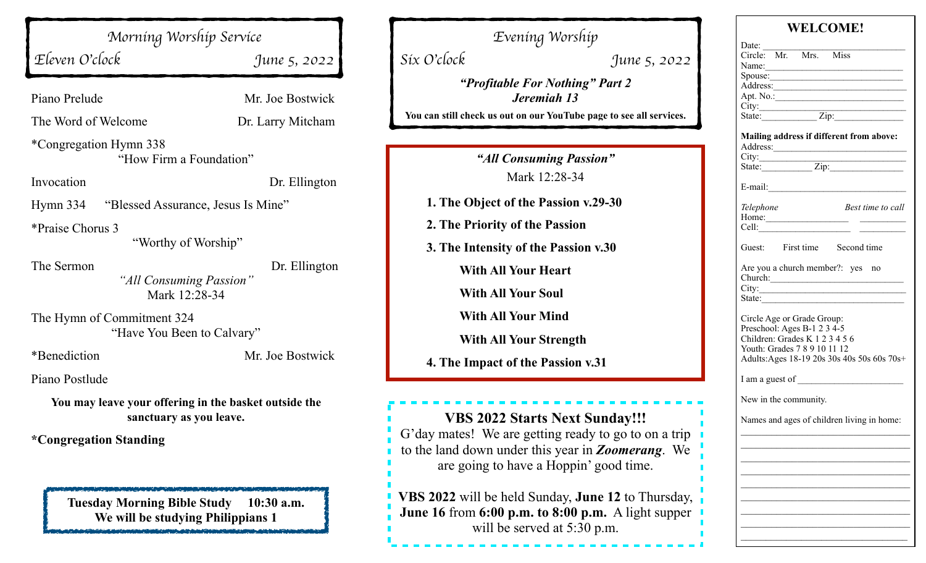*Morning Worship Service Eleven O*'*clock June 5, 2022*

Piano Prelude Mr. Joe Bostwick

The Word of Welcome Dr. Larry Mitcham

\*Congregation Hymn 338 "How Firm a Foundation"

Invocation Dr. Ellington

Hymn 334 "Blessed Assurance, Jesus Is Mine"

\*Praise Chorus 3 "Worthy of Worship"

The Sermon Dr. Ellington *"All Consuming Passion"*  Mark 12:28-34

The Hymn of Commitment 324 "Have You Been to Calvary"

\*Benediction Mr. Joe Bostwick

Piano Postlude

**You may leave your offering in the basket outside the sanctuary as you leave.**

**\*Congregation Standing**

**Tuesday Morning Bible Study 10:30 a.m. We will be studying Philippians 1**

*Evening Worship Six O*'*clock June 5, 2022 "Profitable For Nothing" Part 2 Jeremiah 13* **You can still check us out on our YouTube page to see all services.** *"All Consuming Passion"* Mark 12:28-34 **1. The Object of the Passion v.29-30**

- **2. The Priority of the Passion**
- **3. The Intensity of the Passion v.30**

**With All Your Heart**

**With All Your Soul**

**With All Your Mind**

**With All Your Strength**

**4. The Impact of the Passion v.31**

## **VBS 2022 Starts Next Sunday!!!**

G'day mates! We are getting ready to go to on a trip to the land down under this year in **Zoomerang**. We are going to have a Hoppin' good time.

**VBS 2022** will be held Sunday, **June 12** to Thursday, June 16 from  $6:00$  p.m. to  $8:00$  p.m. A light supper will be served at 5:30 p.m.

| <b>WELCOME!</b>                |  |                                             |  |
|--------------------------------|--|---------------------------------------------|--|
|                                |  |                                             |  |
| Date:<br>Circle: Mr. Mrs. Miss |  |                                             |  |
|                                |  |                                             |  |
|                                |  |                                             |  |
|                                |  |                                             |  |
|                                |  | Address:                                    |  |
|                                |  |                                             |  |
|                                |  |                                             |  |
|                                |  |                                             |  |
|                                |  | Mailing address if different from above:    |  |
|                                |  |                                             |  |
|                                |  |                                             |  |
|                                |  |                                             |  |
|                                |  |                                             |  |
|                                |  | E-mail: $\frac{1}{2}$                       |  |
| Telephone                      |  | Best time to call                           |  |
|                                |  |                                             |  |
| Cell:                          |  |                                             |  |
|                                |  |                                             |  |
|                                |  | Guest: First time Second time               |  |
|                                |  | Are you a church member?: yes no            |  |
|                                |  |                                             |  |
|                                |  | Church:                                     |  |
|                                |  | $\frac{City:}{key:}$                        |  |
|                                |  | State:                                      |  |
| Circle Age or Grade Group:     |  |                                             |  |
| Preschool: Ages B-1 2 3 4-5    |  |                                             |  |
| Children: Grades K 1 2 3 4 5 6 |  |                                             |  |
|                                |  |                                             |  |
| Youth: Grades 7 8 9 10 11 12   |  |                                             |  |
|                                |  | Adults: Ages 18-19 20s 30s 40s 50s 60s 70s+ |  |
|                                |  |                                             |  |
| New in the community.          |  |                                             |  |
|                                |  | Names and ages of children living in home:  |  |
|                                |  |                                             |  |
|                                |  |                                             |  |
|                                |  |                                             |  |
|                                |  |                                             |  |
|                                |  |                                             |  |
|                                |  |                                             |  |
|                                |  |                                             |  |
|                                |  |                                             |  |
|                                |  |                                             |  |
|                                |  |                                             |  |
|                                |  |                                             |  |
|                                |  |                                             |  |